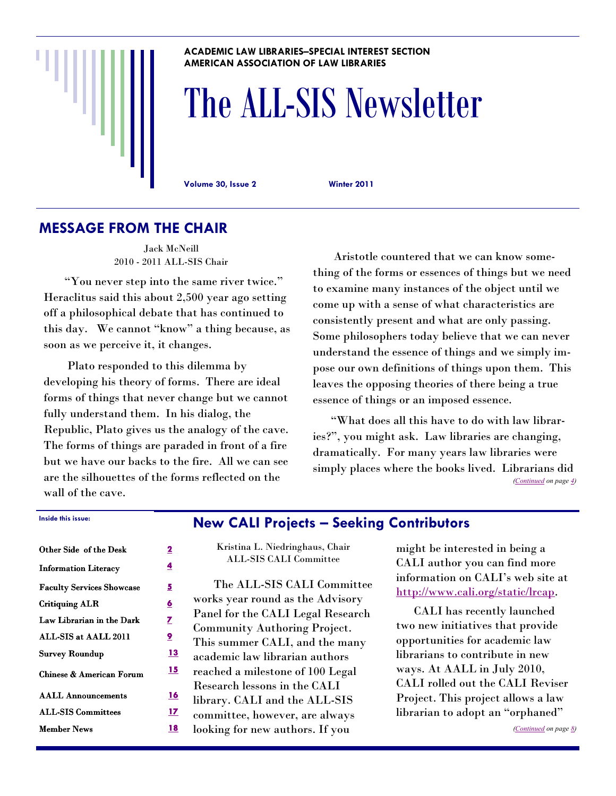#### **ACADEMIC LAW LIBRARIES–SPECIAL INTEREST SECTION AMERICAN ASSOCIATION OF LAW LIBRARIES**

# The ALL-SIS Newsletter

**Volume 30, Issue 2 Winter 2011** 

# **MESSAGE FROM THE CHAIR**

Jack McNeill 2010 - 2011 ALL-SIS Chair

"You never step into the same river twice." Heraclitus said this about 2,500 year ago setting off a philosophical debate that has continued to this day. We cannot "know" a thing because, as soon as we perceive it, it changes.

 Plato responded to this dilemma by developing his theory of forms. There are ideal forms of things that never change but we cannot fully understand them. In his dialog, the Republic, Plato gives us the analogy of the cave. The forms of things are paraded in front of a fire but we have our backs to the fire. All we can see are the silhouettes of the forms reflected on the wall of the cave.

 Aristotle countered that we can know something of the forms or essences of things but we need to examine many instances of the object until we come up with a sense of what characteristics are consistently present and what are only passing. Some philosophers today believe that we can never understand the essence of things and we simply impose our own definitions of things upon them. This leaves the opposing theories of there being a true essence of things or an imposed essence.

 ―What does all this have to do with law libraries?", you might ask. Law libraries are changing, dramatically. For many years law libraries were simply places where the books lived. Librarians did *[\(Continued](#page-3-0) on page [4\)](#page-3-0)* 

#### **Inside this issue: Inside this issue:**

| Other Side of the Desk              | 2         |
|-------------------------------------|-----------|
| <b>Information Literacy</b>         | 4         |
| <b>Faculty Services Showcase</b>    | 5         |
| <b>Critiquing ALR</b>               | <u>6</u>  |
| Law Librarian in the Dark           | Z         |
| ALL-SIS at AALL 2011                | 9         |
| <b>Survey Roundup</b>               | <u>13</u> |
| <b>Chinese &amp; American Forum</b> | 15        |
| <b>AALL Announcements</b>           | 16        |
| <b>ALL-SIS Committees</b>           | 17        |
| <b>Member News</b>                  | 18        |

#### **New CALI Projects – Seeking Contributors**

Kristina L. Niedringhaus, Chair ALL-SIS CALI Committee

 The ALL-SIS CALI Committee works year round as the Advisory Panel for the CALI Legal Research Community Authoring Project. This summer CALI, and the many academic law librarian authors reached a milestone of 100 Legal Research lessons in the CALI library. CALI and the ALL-SIS committee, however, are always looking for new authors. If you

might be interested in being a CALI author you can find more information on CALI's web site at [http://www.cali.org/static/lrcap.](http://www.cali.org/static/lrcap) 

 CALI has recently launched two new initiatives that provide opportunities for academic law librarians to contribute in new ways. At AALL in July 2010, CALI rolled out the CALI Reviser Project. This project allows a law librarian to adopt an "orphaned"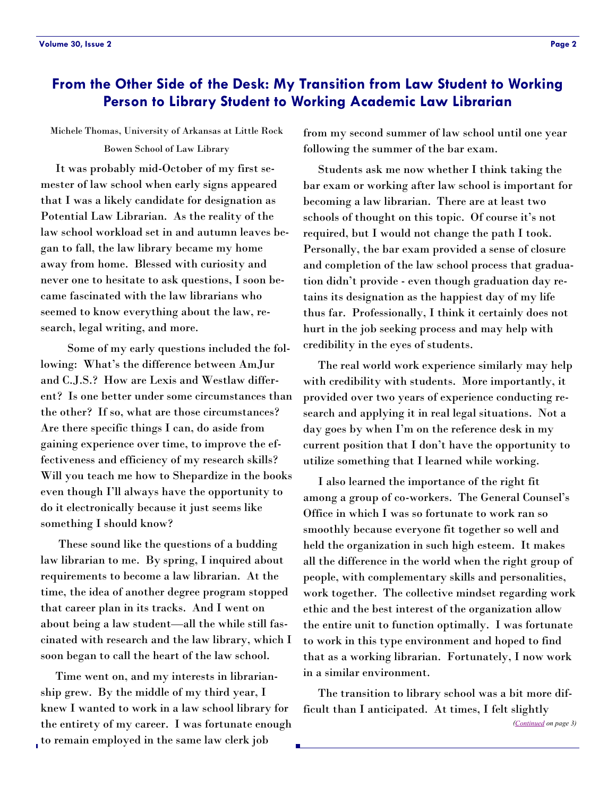# <span id="page-1-0"></span>**From the Other Side of the Desk: My Transition from Law Student to Working Person to Library Student to Working Academic Law Librarian**

#### Michele Thomas, University of Arkansas at Little Rock Bowen School of Law Library

 It was probably mid-October of my first semester of law school when early signs appeared that I was a likely candidate for designation as Potential Law Librarian. As the reality of the law school workload set in and autumn leaves began to fall, the law library became my home away from home. Blessed with curiosity and never one to hesitate to ask questions, I soon became fascinated with the law librarians who seemed to know everything about the law, research, legal writing, and more.

 Some of my early questions included the following: What's the difference between AmJur and C.J.S.? How are Lexis and Westlaw different? Is one better under some circumstances than the other? If so, what are those circumstances? Are there specific things I can, do aside from gaining experience over time, to improve the effectiveness and efficiency of my research skills? Will you teach me how to Shepardize in the books even though I'll always have the opportunity to do it electronically because it just seems like something I should know?

 These sound like the questions of a budding law librarian to me. By spring, I inquired about requirements to become a law librarian. At the time, the idea of another degree program stopped that career plan in its tracks. And I went on about being a law student—all the while still fascinated with research and the law library, which I soon began to call the heart of the law school.

 Time went on, and my interests in librarianship grew. By the middle of my third year, I knew I wanted to work in a law school library for the entirety of my career. I was fortunate enough to remain employed in the same law clerk job

from my second summer of law school until one year following the summer of the bar exam.

 Students ask me now whether I think taking the bar exam or working after law school is important for becoming a law librarian. There are at least two schools of thought on this topic. Of course it's not required, but I would not change the path I took. Personally, the bar exam provided a sense of closure and completion of the law school process that graduation didn't provide - even though graduation day retains its designation as the happiest day of my life thus far. Professionally, I think it certainly does not hurt in the job seeking process and may help with credibility in the eyes of students.

 The real world work experience similarly may help with credibility with students. More importantly, it provided over two years of experience conducting research and applying it in real legal situations. Not a day goes by when I'm on the reference desk in my current position that I don't have the opportunity to utilize something that I learned while working.

 I also learned the importance of the right fit among a group of co-workers. The General Counsel's Office in which I was so fortunate to work ran so smoothly because everyone fit together so well and held the organization in such high esteem. It makes all the difference in the world when the right group of people, with complementary skills and personalities, work together. The collective mindset regarding work ethic and the best interest of the organization allow the entire unit to function optimally. I was fortunate to work in this type environment and hoped to find that as a working librarian. Fortunately, I now work in a similar environment.

 The transition to library school was a bit more difficult than I anticipated. At times, I felt slightly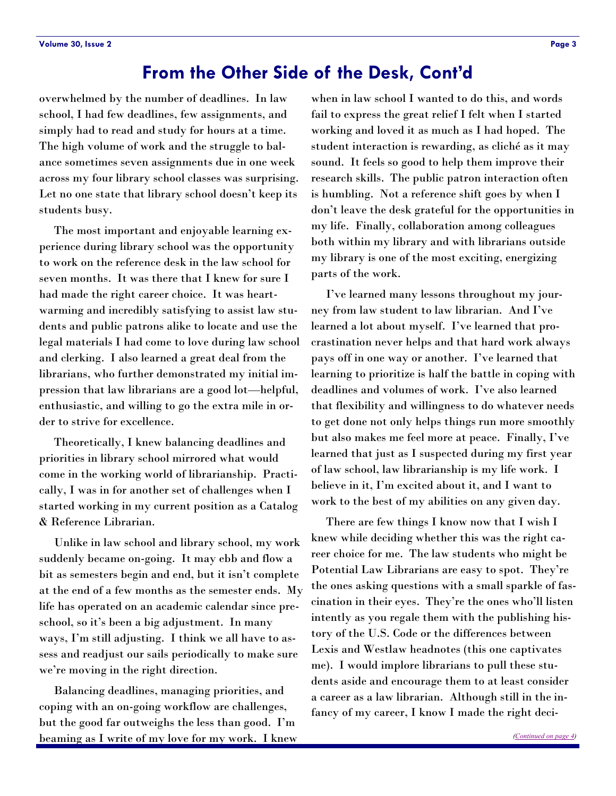# **From the Other Side of the Desk, Cont'd**

<span id="page-2-0"></span>overwhelmed by the number of deadlines. In law school, I had few deadlines, few assignments, and simply had to read and study for hours at a time. The high volume of work and the struggle to balance sometimes seven assignments due in one week across my four library school classes was surprising. Let no one state that library school doesn't keep its students busy.

 The most important and enjoyable learning experience during library school was the opportunity to work on the reference desk in the law school for seven months. It was there that I knew for sure I had made the right career choice. It was heartwarming and incredibly satisfying to assist law students and public patrons alike to locate and use the legal materials I had come to love during law school and clerking. I also learned a great deal from the librarians, who further demonstrated my initial impression that law librarians are a good lot—helpful, enthusiastic, and willing to go the extra mile in order to strive for excellence.

 Theoretically, I knew balancing deadlines and priorities in library school mirrored what would come in the working world of librarianship. Practically, I was in for another set of challenges when I started working in my current position as a Catalog & Reference Librarian.

 Unlike in law school and library school, my work suddenly became on-going. It may ebb and flow a bit as semesters begin and end, but it isn't complete at the end of a few months as the semester ends. My life has operated on an academic calendar since preschool, so it's been a big adjustment. In many ways, I'm still adjusting. I think we all have to assess and readjust our sails periodically to make sure we're moving in the right direction.

 Balancing deadlines, managing priorities, and coping with an on-going workflow are challenges, but the good far outweighs the less than good. I'm beaming as I write of my love for my work. I knew

when in law school I wanted to do this, and words fail to express the great relief I felt when I started working and loved it as much as I had hoped. The student interaction is rewarding, as cliché as it may sound. It feels so good to help them improve their research skills. The public patron interaction often is humbling. Not a reference shift goes by when I don't leave the desk grateful for the opportunities in my life. Finally, collaboration among colleagues both within my library and with librarians outside my library is one of the most exciting, energizing parts of the work.

 I've learned many lessons throughout my journey from law student to law librarian. And I've learned a lot about myself. I've learned that procrastination never helps and that hard work always pays off in one way or another. I've learned that learning to prioritize is half the battle in coping with deadlines and volumes of work. I've also learned that flexibility and willingness to do whatever needs to get done not only helps things run more smoothly but also makes me feel more at peace. Finally, I've learned that just as I suspected during my first year of law school, law librarianship is my life work. I believe in it, I'm excited about it, and I want to work to the best of my abilities on any given day.

 There are few things I know now that I wish I knew while deciding whether this was the right career choice for me. The law students who might be Potential Law Librarians are easy to spot. They're the ones asking questions with a small sparkle of fascination in their eyes. They're the ones who'll listen intently as you regale them with the publishing history of the U.S. Code or the differences between Lexis and Westlaw headnotes (this one captivates me). I would implore librarians to pull these students aside and encourage them to at least consider a career as a law librarian. Although still in the infancy of my career, I know I made the right deci-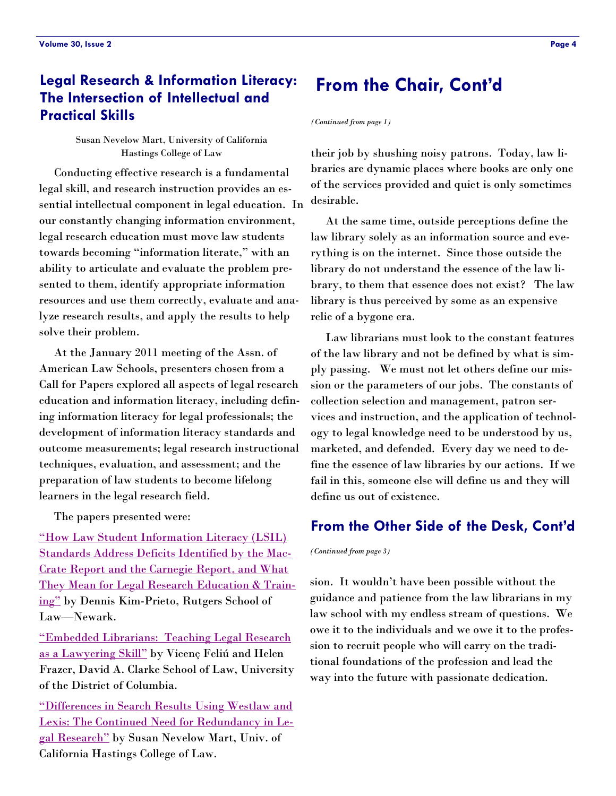# <span id="page-3-0"></span>**Legal Research & Information Literacy: The Intersection of Intellectual and Practical Skills**

Susan Nevelow Mart, University of California Hastings College of Law

 Conducting effective research is a fundamental legal skill, and research instruction provides an essential intellectual component in legal education. In our constantly changing information environment, legal research education must move law students towards becoming "information literate," with an ability to articulate and evaluate the problem presented to them, identify appropriate information resources and use them correctly, evaluate and analyze research results, and apply the results to help solve their problem.

 At the January 2011 meeting of the Assn. of American Law Schools, presenters chosen from a Call for Papers explored all aspects of legal research education and information literacy, including defining information literacy for legal professionals; the development of information literacy standards and outcome measurements; legal research instructional techniques, evaluation, and assessment; and the preparation of law students to become lifelong learners in the legal research field.

The papers presented were:

"How Law Student Information Literacy (LSIL) [Standards Address Deficits Identified by the Mac-](http://lawlib.unc.edu/aals/LSIL.pdf)[Crate Report and the Carnegie Report, and What](http://lawlib.unc.edu/aals/LSIL.pdf)  [They Mean for Legal Research Education & Train](http://lawlib.unc.edu/aals/LSIL.pdf)ing" by Dennis Kim-Prieto, Rutgers School of Law—Newark.

―Embedded Librarians: [Teaching Legal Research](http://lawlib.unc.edu/aals/embedded.pdf)  as a Lawyering Skill" by Vicenç Feliú and Helen Frazer, David A. Clarke School of Law, University of the District of Columbia.

[―Differences in Search Results Using Westlaw and](http://lawlib.unc.edu/aals/differences.pdf)  [Lexis: The Continued Need for Redundancy in Le](http://lawlib.unc.edu/aals/differences.pdf)gal Research" by Susan Nevelow Mart, Univ. of California Hastings College of Law.

# **From the Chair, Cont'd**

*(Continued from page 1)* 

their job by shushing noisy patrons. Today, law libraries are dynamic places where books are only one of the services provided and quiet is only sometimes desirable.

 At the same time, outside perceptions define the law library solely as an information source and everything is on the internet. Since those outside the library do not understand the essence of the law library, to them that essence does not exist? The law library is thus perceived by some as an expensive relic of a bygone era.

 Law librarians must look to the constant features of the law library and not be defined by what is simply passing. We must not let others define our mission or the parameters of our jobs. The constants of collection selection and management, patron services and instruction, and the application of technology to legal knowledge need to be understood by us, marketed, and defended. Every day we need to define the essence of law libraries by our actions. If we fail in this, someone else will define us and they will define us out of existence.

#### **From the Other Side of the Desk, Cont'd**

*(Continued from page 3)* 

sion. It wouldn't have been possible without the guidance and patience from the law librarians in my law school with my endless stream of questions. We owe it to the individuals and we owe it to the profession to recruit people who will carry on the traditional foundations of the profession and lead the way into the future with passionate dedication.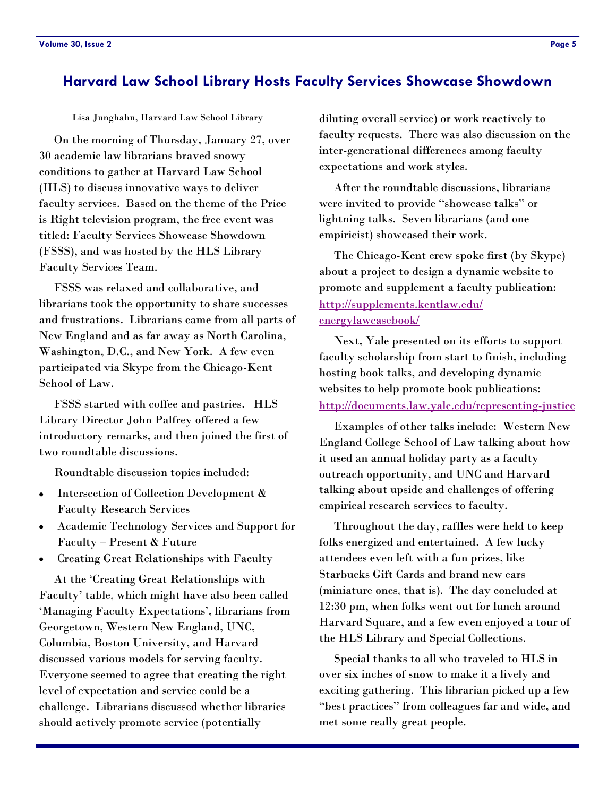### <span id="page-4-0"></span>**Harvard Law School Library Hosts Faculty Services Showcase Showdown**

Lisa Junghahn, Harvard Law School Library

 On the morning of Thursday, January 27, over 30 academic law librarians braved snowy conditions to gather at Harvard Law School (HLS) to discuss innovative ways to deliver faculty services. Based on the theme of the Price is Right television program, the free event was titled: Faculty Services Showcase Showdown (FSSS), and was hosted by the HLS Library Faculty Services Team.

 FSSS was relaxed and collaborative, and librarians took the opportunity to share successes and frustrations. Librarians came from all parts of New England and as far away as North Carolina, Washington, D.C., and New York. A few even participated via Skype from the Chicago-Kent School of Law.

 FSSS started with coffee and pastries. HLS Library Director John Palfrey offered a few introductory remarks, and then joined the first of two roundtable discussions.

Roundtable discussion topics included:

- Intersection of Collection Development &  $\bullet$ Faculty Research Services
- Academic Technology Services and Support for Faculty – Present & Future
- Creating Great Relationships with Faculty

At the 'Creating Great Relationships with Faculty' table, which might have also been called ‗Managing Faculty Expectations', librarians from Georgetown, Western New England, UNC, Columbia, Boston University, and Harvard discussed various models for serving faculty. Everyone seemed to agree that creating the right level of expectation and service could be a challenge. Librarians discussed whether libraries should actively promote service (potentially

diluting overall service) or work reactively to faculty requests. There was also discussion on the inter-generational differences among faculty expectations and work styles.

 After the roundtable discussions, librarians were invited to provide "showcase talks" or lightning talks. Seven librarians (and one empiricist) showcased their work.

 The Chicago-Kent crew spoke first (by Skype) about a project to design a dynamic website to promote and supplement a faculty publication: [http://supplements.kentlaw.edu/](http://supplements.kentlaw.edu/energylawcasebook/) [energylawcasebook/](http://supplements.kentlaw.edu/energylawcasebook/) 

 Next, Yale presented on its efforts to support faculty scholarship from start to finish, including hosting book talks, and developing dynamic websites to help promote book publications: <http://documents.law.yale.edu/representing-justice>

 Examples of other talks include: Western New England College School of Law talking about how it used an annual holiday party as a faculty outreach opportunity, and UNC and Harvard talking about upside and challenges of offering empirical research services to faculty.

 Throughout the day, raffles were held to keep folks energized and entertained. A few lucky attendees even left with a fun prizes, like Starbucks Gift Cards and brand new cars (miniature ones, that is). The day concluded at 12:30 pm, when folks went out for lunch around Harvard Square, and a few even enjoyed a tour of the HLS Library and Special Collections.

 Special thanks to all who traveled to HLS in over six inches of snow to make it a lively and exciting gathering. This librarian picked up a few "best practices" from colleagues far and wide, and met some really great people.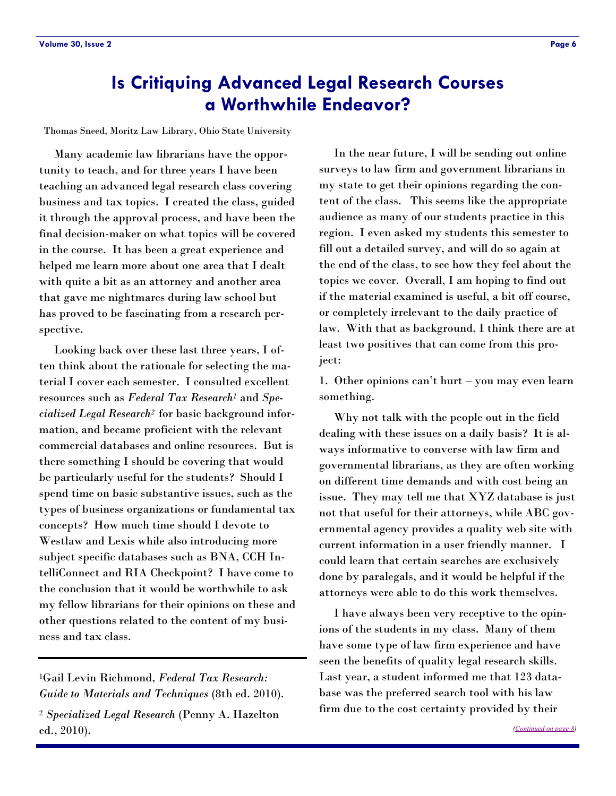# <span id="page-5-0"></span>**Is Critiquing Advanced Legal Research Courses a Worthwhile Endeavor?**

Thomas Sneed, Moritz Law Library, Ohio State University

 Many academic law librarians have the opportunity to teach, and for three years I have been teaching an advanced legal research class covering business and tax topics. I created the class, guided it through the approval process, and have been the final decision-maker on what topics will be covered in the course. It has been a great experience and helped me learn more about one area that I dealt with quite a bit as an attorney and another area that gave me nightmares during law school but has proved to be fascinating from a research perspective.

 Looking back over these last three years, I often think about the rationale for selecting the material I cover each semester. I consulted excellent resources such as *Federal Tax Research<sup>1</sup>* and *Specialized Legal Research2* for basic background information, and became proficient with the relevant commercial databases and online resources. But is there something I should be covering that would be particularly useful for the students? Should I spend time on basic substantive issues, such as the types of business organizations or fundamental tax concepts? How much time should I devote to Westlaw and Lexis while also introducing more subject specific databases such as BNA, CCH IntelliConnect and RIA Checkpoint? I have come to the conclusion that it would be worthwhile to ask my fellow librarians for their opinions on these and other questions related to the content of my business and tax class.

 In the near future, I will be sending out online surveys to law firm and government librarians in my state to get their opinions regarding the content of the class. This seems like the appropriate audience as many of our students practice in this region. I even asked my students this semester to fill out a detailed survey, and will do so again at the end of the class, to see how they feel about the topics we cover. Overall, I am hoping to find out if the material examined is useful, a bit off course, or completely irrelevant to the daily practice of law. With that as background, I think there are at least two positives that can come from this project:

1. Other opinions can't hurt – you may even learn something.

 Why not talk with the people out in the field dealing with these issues on a daily basis? It is always informative to converse with law firm and governmental librarians, as they are often working on different time demands and with cost being an issue. They may tell me that XYZ database is just not that useful for their attorneys, while ABC governmental agency provides a quality web site with current information in a user friendly manner. I could learn that certain searches are exclusively done by paralegals, and it would be helpful if the attorneys were able to do this work themselves.

 I have always been very receptive to the opinions of the students in my class. Many of them have some type of law firm experience and have seen the benefits of quality legal research skills. Last year, a student informed me that 123 database was the preferred search tool with his law firm due to the cost certainty provided by their

<sup>1</sup>Gail Levin Richmond, *Federal Tax Research: Guide to Materials and Techniques* (8th ed. 2010). <sup>2</sup> *Specialized Legal Research* (Penny A. Hazelton ed., 2010).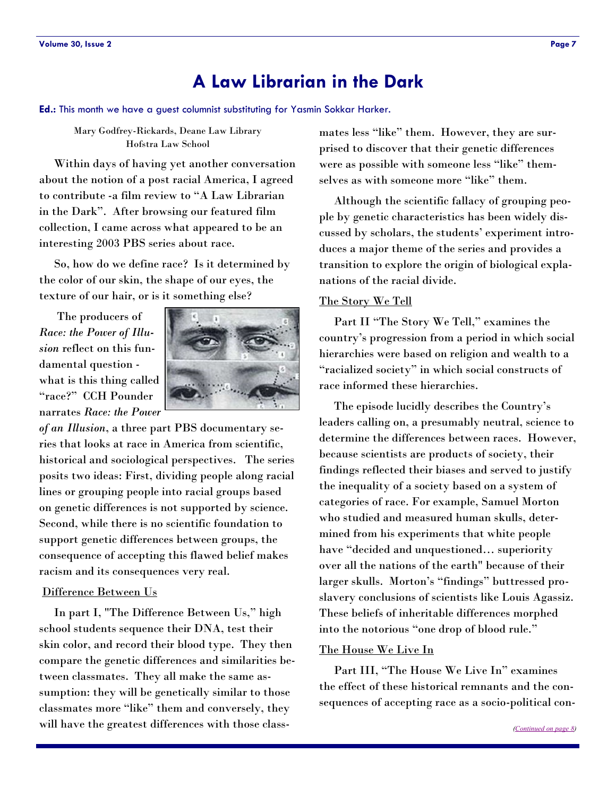# **A Law Librarian in the Dark**

<span id="page-6-0"></span>**Ed.:** This month we have a guest columnist substituting for Yasmin Sokkar Harker.

#### Mary Godfrey-Rickards, Deane Law Library Hofstra Law School

 Within days of having yet another conversation about the notion of a post racial America, I agreed to contribute -a film review to "A Law Librarian" in the Dark". After browsing our featured film collection, I came across what appeared to be an interesting 2003 PBS series about race.

 So, how do we define race? Is it determined by the color of our skin, the shape of our eyes, the texture of our hair, or is it something else?

 The producers of *Race: the Power of Illusion* reflect on this fundamental question what is this thing called ―race?‖ CCH Pounder narrates *Race: the Power* 



*of an Illusion*, a three part PBS documentary series that looks at race in America from scientific, historical and sociological perspectives. The series posits two ideas: First, dividing people along racial lines or grouping people into racial groups based on genetic differences is not supported by science. Second, while there is no scientific foundation to support genetic differences between groups, the consequence of accepting this flawed belief makes racism and its consequences very real.

#### Difference Between Us

In part I, "The Difference Between Us," high school students sequence their DNA, test their skin color, and record their blood type. They then compare the genetic differences and similarities between classmates. They all make the same assumption: they will be genetically similar to those classmates more "like" them and conversely, they will have the greatest differences with those classmates less "like" them. However, they are surprised to discover that their genetic differences were as possible with someone less "like" themselves as with someone more "like" them.

 Although the scientific fallacy of grouping people by genetic characteristics has been widely discussed by scholars, the students' experiment introduces a major theme of the series and provides a transition to explore the origin of biological explanations of the racial divide.

#### The Story We Tell

Part II "The Story We Tell," examines the country's progression from a period in which social hierarchies were based on religion and wealth to a "racialized society" in which social constructs of race informed these hierarchies.

 The episode lucidly describes the Country's leaders calling on, a presumably neutral, science to determine the differences between races. However, because scientists are products of society, their findings reflected their biases and served to justify the inequality of a society based on a system of categories of race. For example, Samuel Morton who studied and measured human skulls, determined from his experiments that white people have "decided and unquestioned... superiority over all the nations of the earth" because of their larger skulls. Morton's "findings" buttressed proslavery conclusions of scientists like Louis Agassiz. These beliefs of inheritable differences morphed into the notorious "one drop of blood rule."

#### The House We Live In

Part III, "The House We Live In" examines the effect of these historical remnants and the consequences of accepting race as a socio-political con-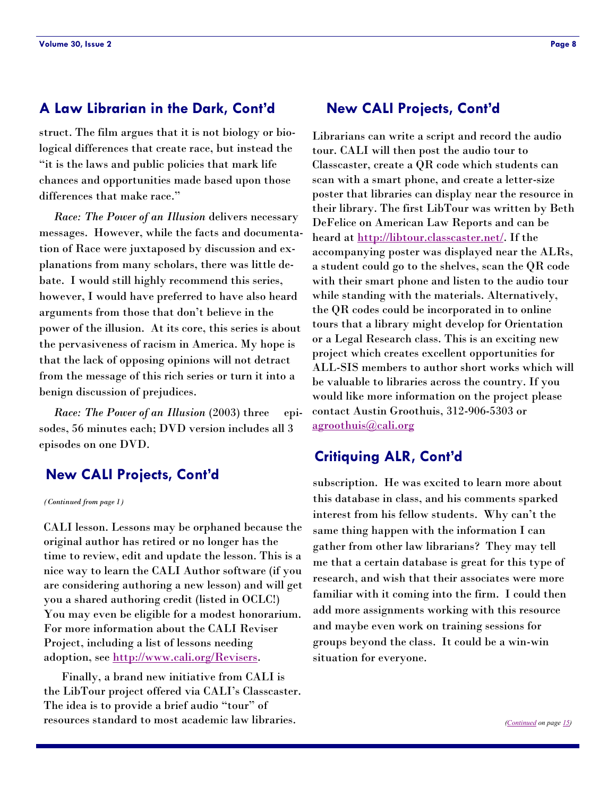### <span id="page-7-0"></span>**A Law Librarian in the Dark, Cont'd New CALI Projects, Cont'd**

struct. The film argues that it is not biology or biological differences that create race, but instead the ―it is the laws and public policies that mark life chances and opportunities made based upon those differences that make race."

 *Race: The Power of an Illusion* delivers necessary messages. However, while the facts and documentation of Race were juxtaposed by discussion and explanations from many scholars, there was little debate. I would still highly recommend this series, however, I would have preferred to have also heard arguments from those that don't believe in the power of the illusion. At its core, this series is about the pervasiveness of racism in America. My hope is that the lack of opposing opinions will not detract from the message of this rich series or turn it into a benign discussion of prejudices.

*Race: The Power of an Illusion (2003)* three episodes, 56 minutes each; DVD version includes all 3 episodes on one DVD.

### **New CALI Projects, Cont'd**

*(Continued from page 1)* 

CALI lesson. Lessons may be orphaned because the original author has retired or no longer has the time to review, edit and update the lesson. This is a nice way to learn the CALI Author software (if you are considering authoring a new lesson) and will get you a shared authoring credit (listed in OCLC!) You may even be eligible for a modest honorarium. For more information about the CALI Reviser Project, including a list of lessons needing adoption, see [http://www.cali.org/Revisers.](http://www.cali.org/Revisers)

 Finally, a brand new initiative from CALI is the LibTour project offered via CALI's Classcaster. The idea is to provide a brief audio "tour" of resources standard to most academic law libraries.

Librarians can write a script and record the audio tour. CALI will then post the audio tour to Classcaster, create a QR code which students can scan with a smart phone, and create a letter-size poster that libraries can display near the resource in their library. The first LibTour was written by Beth DeFelice on American Law Reports and can be heard at [http://libtour.classcaster.net/.](http://libtour.classcaster.net/) If the accompanying poster was displayed near the ALRs, a student could go to the shelves, scan the QR code with their smart phone and listen to the audio tour while standing with the materials. Alternatively, the QR codes could be incorporated in to online tours that a library might develop for Orientation or a Legal Research class. This is an exciting new project which creates excellent opportunities for ALL-SIS members to author short works which will be valuable to libraries across the country. If you would like more information on the project please contact Austin Groothuis, 312-906-5303 or [agroothuis@cali.org](mailto:agroothuis@cali.org)

#### **Critiquing ALR, Cont'd**

subscription. He was excited to learn more about this database in class, and his comments sparked interest from his fellow students. Why can't the same thing happen with the information I can gather from other law librarians? They may tell me that a certain database is great for this type of research, and wish that their associates were more familiar with it coming into the firm. I could then add more assignments working with this resource and maybe even work on training sessions for groups beyond the class. It could be a win-win situation for everyone.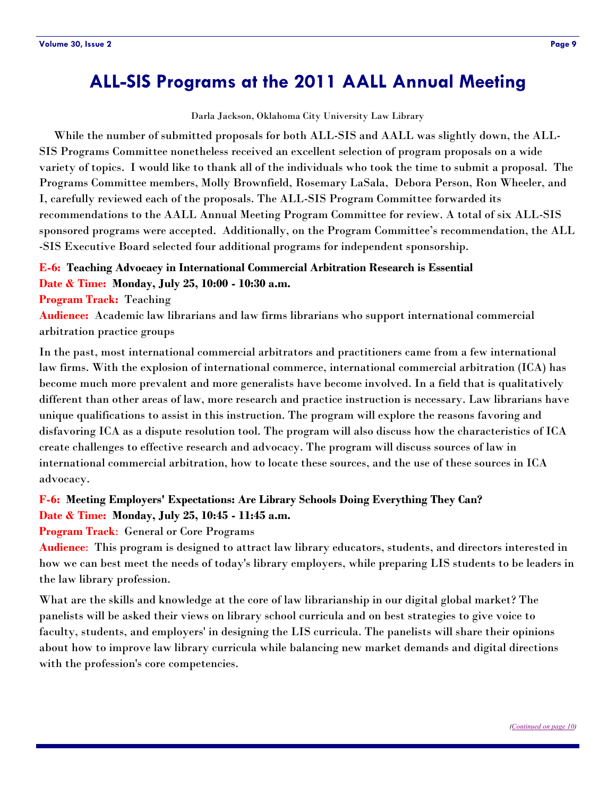# <span id="page-8-0"></span>**ALL-SIS Programs at the 2011 AALL Annual Meeting**

Darla Jackson, Oklahoma City University Law Library

 While the number of submitted proposals for both ALL-SIS and AALL was slightly down, the ALL-SIS Programs Committee nonetheless received an excellent selection of program proposals on a wide variety of topics. I would like to thank all of the individuals who took the time to submit a proposal. The Programs Committee members, Molly Brownfield, Rosemary LaSala, Debora Person, Ron Wheeler, and I, carefully reviewed each of the proposals. The ALL-SIS Program Committee forwarded its recommendations to the AALL Annual Meeting Program Committee for review. A total of six ALL-SIS sponsored programs were accepted. Additionally, on the Program Committee's recommendation, the ALL -SIS Executive Board selected four additional programs for independent sponsorship.

#### **E-6: Teaching Advocacy in International Commercial Arbitration Research is Essential Date & Time: Monday, July 25, 10:00 - 10:30 a.m.**

**Program Track:** Teaching

**Audience:** Academic law librarians and law firms librarians who support international commercial arbitration practice groups

In the past, most international commercial arbitrators and practitioners came from a few international law firms. With the explosion of international commerce, international commercial arbitration (ICA) has become much more prevalent and more generalists have become involved. In a field that is qualitatively different than other areas of law, more research and practice instruction is necessary. Law librarians have unique qualifications to assist in this instruction. The program will explore the reasons favoring and disfavoring ICA as a dispute resolution tool. The program will also discuss how the characteristics of ICA create challenges to effective research and advocacy. The program will discuss sources of law in international commercial arbitration, how to locate these sources, and the use of these sources in ICA advocacy.

#### **F-6: Meeting Employers' Expectations: Are Library Schools Doing Everything They Can? Date & Time: Monday, July 25, 10:45 - 11:45 a.m.**

**Program Track**: General or Core Programs

**Audience**: This program is designed to attract law library educators, students, and directors interested in how we can best meet the needs of today's library employers, while preparing LIS students to be leaders in the law library profession.

What are the skills and knowledge at the core of law librarianship in our digital global market? The panelists will be asked their views on library school curricula and on best strategies to give voice to faculty, students, and employers' in designing the LIS curricula. The panelists will share their opinions about how to improve law library curricula while balancing new market demands and digital directions with the profession's core competencies.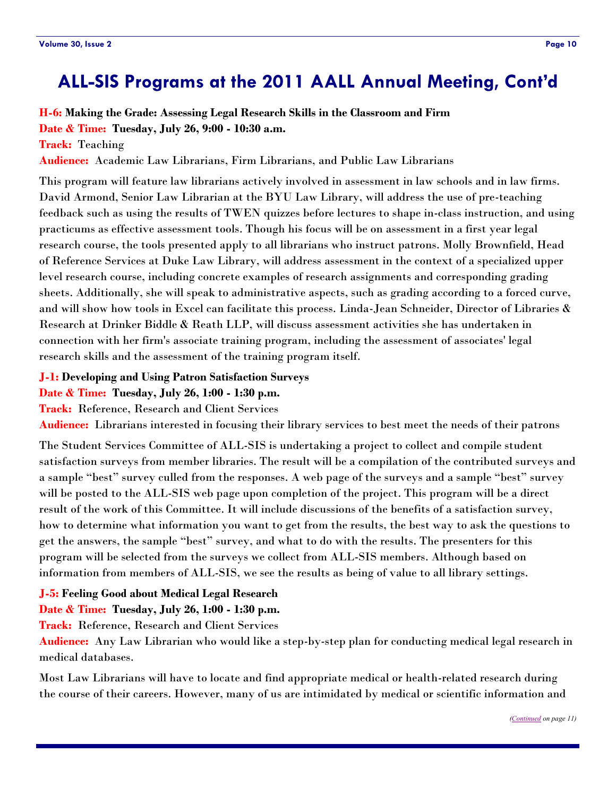# <span id="page-9-0"></span>**ALL-SIS Programs at the 2011 AALL Annual Meeting, Cont'd**

# **H-6: Making the Grade: Assessing Legal Research Skills in the Classroom and Firm**

**Date & Time: Tuesday, July 26, 9:00 - 10:30 a.m.** 

**Track:** Teaching

**Audience:** Academic Law Librarians, Firm Librarians, and Public Law Librarians

This program will feature law librarians actively involved in assessment in law schools and in law firms. David Armond, Senior Law Librarian at the BYU Law Library, will address the use of pre-teaching feedback such as using the results of TWEN quizzes before lectures to shape in-class instruction, and using practicums as effective assessment tools. Though his focus will be on assessment in a first year legal research course, the tools presented apply to all librarians who instruct patrons. Molly Brownfield, Head of Reference Services at Duke Law Library, will address assessment in the context of a specialized upper level research course, including concrete examples of research assignments and corresponding grading sheets. Additionally, she will speak to administrative aspects, such as grading according to a forced curve, and will show how tools in Excel can facilitate this process. Linda-Jean Schneider, Director of Libraries & Research at Drinker Biddle & Reath LLP, will discuss assessment activities she has undertaken in connection with her firm's associate training program, including the assessment of associates' legal research skills and the assessment of the training program itself.

#### **J-1: Developing and Using Patron Satisfaction Surveys**

#### **Date & Time: Tuesday, July 26, 1:00 - 1:30 p.m.**

**Track:** Reference, Research and Client Services

**Audience:** Librarians interested in focusing their library services to best meet the needs of their patrons

The Student Services Committee of ALL-SIS is undertaking a project to collect and compile student satisfaction surveys from member libraries. The result will be a compilation of the contributed surveys and a sample "best" survey culled from the responses. A web page of the surveys and a sample "best" survey will be posted to the ALL-SIS web page upon completion of the project. This program will be a direct result of the work of this Committee. It will include discussions of the benefits of a satisfaction survey, how to determine what information you want to get from the results, the best way to ask the questions to get the answers, the sample "best" survey, and what to do with the results. The presenters for this program will be selected from the surveys we collect from ALL-SIS members. Although based on information from members of ALL-SIS, we see the results as being of value to all library settings.

#### **J-5: Feeling Good about Medical Legal Research**

#### **Date & Time: Tuesday, July 26, 1:00 - 1:30 p.m.**

**Track:** Reference, Research and Client Services

**Audience:** Any Law Librarian who would like a step-by-step plan for conducting medical legal research in medical databases.

Most Law Librarians will have to locate and find appropriate medical or health-related research during the course of their careers. However, many of us are intimidated by medical or scientific information and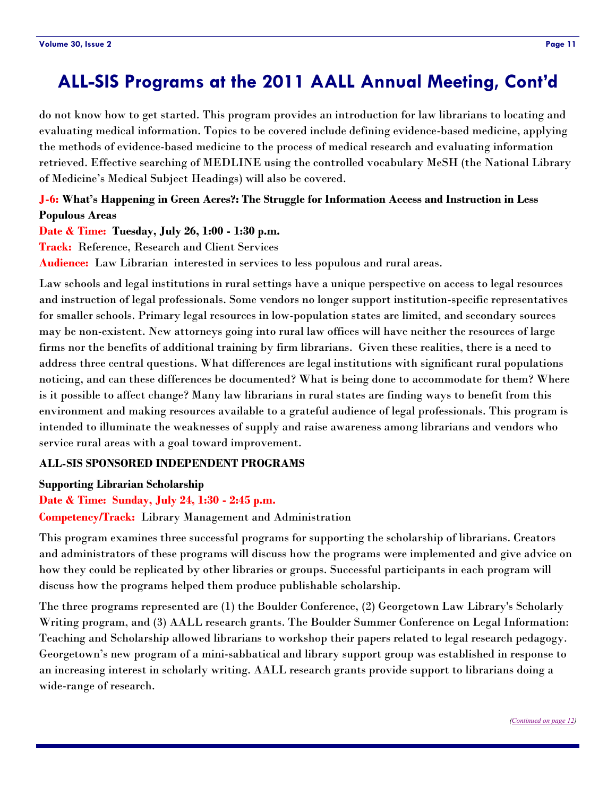# <span id="page-10-0"></span>**ALL-SIS Programs at the 2011 AALL Annual Meeting, Cont'd**

do not know how to get started. This program provides an introduction for law librarians to locating and evaluating medical information. Topics to be covered include defining evidence-based medicine, applying the methods of evidence-based medicine to the process of medical research and evaluating information retrieved. Effective searching of MEDLINE using the controlled vocabulary MeSH (the National Library of Medicine's Medical Subject Headings) will also be covered.

#### **J-6: What's Happening in Green Acres?: The Struggle for Information Access and Instruction in Less Populous Areas**

#### **Date & Time: Tuesday, July 26, 1:00 - 1:30 p.m.**

**Track:** Reference, Research and Client Services

**Audience:** Law Librarian interested in services to less populous and rural areas.

Law schools and legal institutions in rural settings have a unique perspective on access to legal resources and instruction of legal professionals. Some vendors no longer support institution-specific representatives for smaller schools. Primary legal resources in low-population states are limited, and secondary sources may be non-existent. New attorneys going into rural law offices will have neither the resources of large firms nor the benefits of additional training by firm librarians. Given these realities, there is a need to address three central questions. What differences are legal institutions with significant rural populations noticing, and can these differences be documented? What is being done to accommodate for them? Where is it possible to affect change? Many law librarians in rural states are finding ways to benefit from this environment and making resources available to a grateful audience of legal professionals. This program is intended to illuminate the weaknesses of supply and raise awareness among librarians and vendors who service rural areas with a goal toward improvement.

#### **ALL-SIS SPONSORED INDEPENDENT PROGRAMS**

#### **Supporting Librarian Scholarship**

#### **Date & Time: Sunday, July 24, 1:30 - 2:45 p.m.**

**Competency/Track:** Library Management and Administration

This program examines three successful programs for supporting the scholarship of librarians. Creators and administrators of these programs will discuss how the programs were implemented and give advice on how they could be replicated by other libraries or groups. Successful participants in each program will discuss how the programs helped them produce publishable scholarship.

The three programs represented are (1) the Boulder Conference, (2) Georgetown Law Library's Scholarly Writing program, and (3) AALL research grants. The Boulder Summer Conference on Legal Information: Teaching and Scholarship allowed librarians to workshop their papers related to legal research pedagogy. Georgetown's new program of a mini-sabbatical and library support group was established in response to an increasing interest in scholarly writing. AALL research grants provide support to librarians doing a wide-range of research.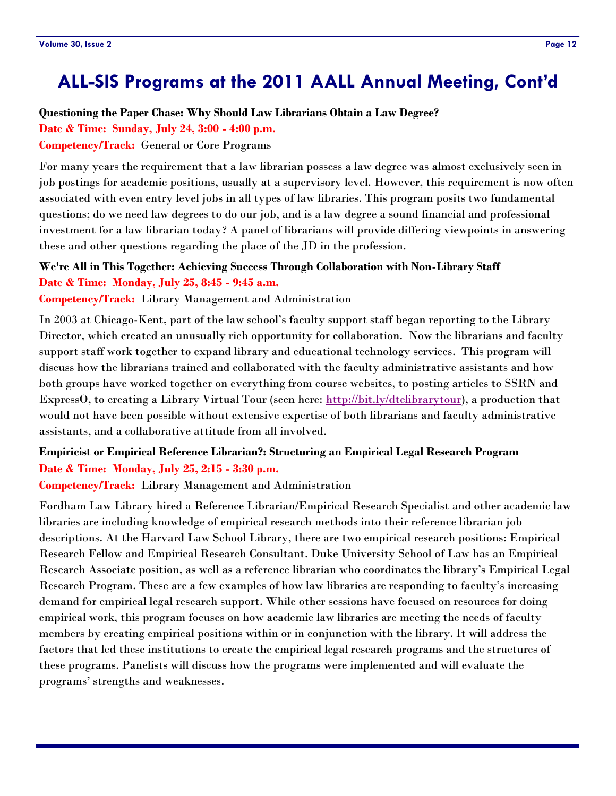# <span id="page-11-0"></span>**ALL-SIS Programs at the 2011 AALL Annual Meeting, Cont'd**

#### **Questioning the Paper Chase: Why Should Law Librarians Obtain a Law Degree?**

**Date & Time: Sunday, July 24, 3:00 - 4:00 p.m.** 

**Competency/Track:** General or Core Programs

For many years the requirement that a law librarian possess a law degree was almost exclusively seen in job postings for academic positions, usually at a supervisory level. However, this requirement is now often associated with even entry level jobs in all types of law libraries. This program posits two fundamental questions; do we need law degrees to do our job, and is a law degree a sound financial and professional investment for a law librarian today? A panel of librarians will provide differing viewpoints in answering these and other questions regarding the place of the JD in the profession.

#### **We're All in This Together: Achieving Success Through Collaboration with Non-Library Staff Date & Time: Monday, July 25, 8:45 - 9:45 a.m.**

**Competency/Track:** Library Management and Administration

In 2003 at Chicago-Kent, part of the law school's faculty support staff began reporting to the Library Director, which created an unusually rich opportunity for collaboration. Now the librarians and faculty support staff work together to expand library and educational technology services. This program will discuss how the librarians trained and collaborated with the faculty administrative assistants and how both groups have worked together on everything from course websites, to posting articles to SSRN and ExpressO, to creating a Library Virtual Tour (seen here: [http://bit.ly/dtclibrarytour\)](http://www.youtube.com/watch?v=RvGbS4M2DsI), a production that would not have been possible without extensive expertise of both librarians and faculty administrative assistants, and a collaborative attitude from all involved.

#### **Empiricist or Empirical Reference Librarian?: Structuring an Empirical Legal Research Program Date & Time: Monday, July 25, 2:15 - 3:30 p.m.**

**Competency/Track:** Library Management and Administration

Fordham Law Library hired a Reference Librarian/Empirical Research Specialist and other academic law libraries are including knowledge of empirical research methods into their reference librarian job descriptions. At the Harvard Law School Library, there are two empirical research positions: Empirical Research Fellow and Empirical Research Consultant. Duke University School of Law has an Empirical Research Associate position, as well as a reference librarian who coordinates the library's Empirical Legal Research Program. These are a few examples of how law libraries are responding to faculty's increasing demand for empirical legal research support. While other sessions have focused on resources for doing empirical work, this program focuses on how academic law libraries are meeting the needs of faculty members by creating empirical positions within or in conjunction with the library. It will address the factors that led these institutions to create the empirical legal research programs and the structures of these programs. Panelists will discuss how the programs were implemented and will evaluate the programs' strengths and weaknesses.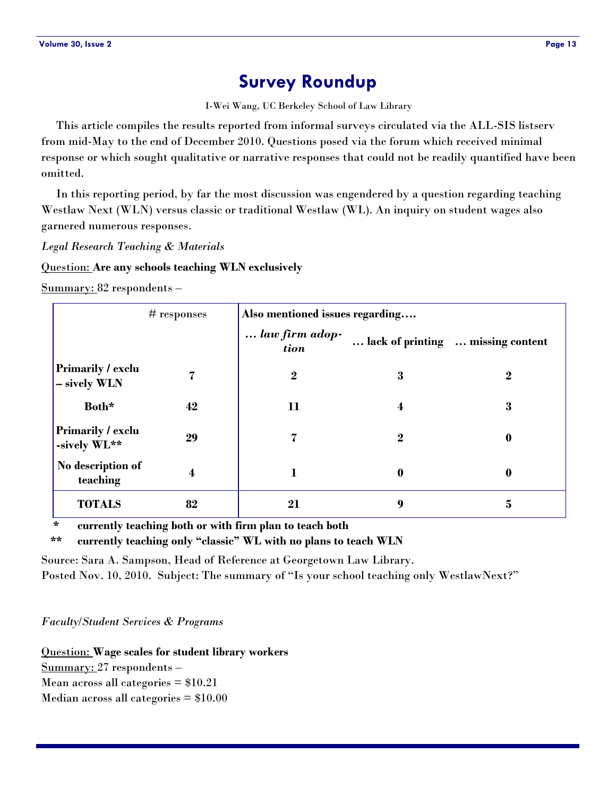# **Survey Roundup**

I-Wei Wang, UC Berkeley School of Law Library

<span id="page-12-0"></span> This article compiles the results reported from informal surveys circulated via the ALL-SIS listserv from mid-May to the end of December 2010. Questions posed via the forum which received minimal response or which sought qualitative or narrative responses that could not be readily quantified have been omitted.

 In this reporting period, by far the most discussion was engendered by a question regarding teaching Westlaw Next (WLN) versus classic or traditional Westlaw (WL). An inquiry on student wages also garnered numerous responses.

*Legal Research Teaching & Materials* 

Question: **Are any schools teaching WLN exclusively** 

Summary: 82 respondents –

|                                          | Also mentioned issues regarding<br>$#$ responses |                        |                         |                                   |
|------------------------------------------|--------------------------------------------------|------------------------|-------------------------|-----------------------------------|
|                                          |                                                  | law firm adop-<br>tion |                         | lack of printing  missing content |
| <b>Primarily / exclu</b><br>- sively WLN | 7                                                | $\boldsymbol{2}$       | 3                       | $\boldsymbol{2}$                  |
| Both*                                    | 42                                               | 11                     | $\overline{\mathbf{4}}$ | 3                                 |
| <b>Primarily / exclu</b><br>-sively WL** | 29                                               | 7                      | $\overline{2}$          | $\bf{0}$                          |
| No description of<br>teaching            | 4                                                | 1                      | $\boldsymbol{0}$        | $\bf{0}$                          |
| <b>TOTALS</b>                            | 82                                               | 21                     | 9                       | 5                                 |

 **\* currently teaching both or with firm plan to teach both** 

 **\*\* currently teaching only "classic" WL with no plans to teach WLN** 

Source: Sara A. Sampson, Head of Reference at Georgetown Law Library.

Posted Nov. 10, 2010. Subject: The summary of "Is your school teaching only WestlawNext?"

*Faculty/Student Services & Programs*

Question: **Wage scales for student library workers** Summary: 27 respondents – Mean across all categories  $= $10.21$ 

Median across all categories  $= $10.00$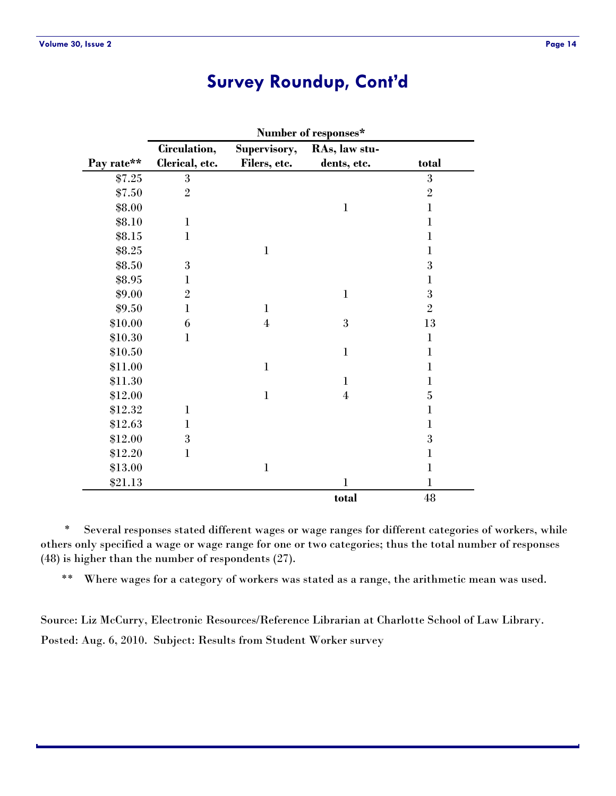# **Survey Roundup, Cont'd**

|            | Number of responses* |                |                |                |
|------------|----------------------|----------------|----------------|----------------|
|            | Circulation,         | Supervisory,   | RAs, law stu-  |                |
| Pay rate** | Clerical, etc.       | Filers, etc.   | dents, etc.    | total          |
| \$7.25     | 3                    |                |                | 3              |
| \$7.50     | $\overline{2}$       |                |                | $\overline{2}$ |
| \$8.00     |                      |                | $\mathbf{1}$   | $\mathbf{1}$   |
| \$8.10     | $\mathbf{1}$         |                |                | $\bf{l}$       |
| \$8.15     | $\bf{l}$             |                |                | 1              |
| \$8.25     |                      | $\mathbf{1}$   |                | $\mathbf 1$    |
| \$8.50     | 3                    |                |                | 3              |
| \$8.95     | $\mathbf{1}$         |                |                | $\mathbf 1$    |
| \$9.00     | $\overline{2}$       |                | $\mathbf{1}$   | 3              |
| \$9.50     | $\mathbf{1}$         | $\mathbf{1}$   |                | $\overline{2}$ |
| \$10.00    | 6                    | $\overline{4}$ | 3              | 13             |
| \$10.30    | $\mathbf 1$          |                |                | $\mathbf{1}$   |
| \$10.50    |                      |                | $\mathbf{1}$   | $\mathbf 1$    |
| \$11.00    |                      | $\mathbf{1}$   |                | $\mathbf{1}$   |
| \$11.30    |                      |                | $\mathbf{1}$   | $\mathbf{1}$   |
| \$12.00    |                      | $\mathbf{1}$   | $\overline{4}$ | 5              |
| \$12.32    | $\mathbf{1}$         |                |                | $\mathbf{1}$   |
| \$12.63    | $\bf{l}$             |                |                | $\mathbf{1}$   |
| \$12.00    | 3                    |                |                | 3              |
| \$12.20    | $\mathbf{1}$         |                |                | $\mathbf 1$    |
| \$13.00    |                      | $\mathbf{1}$   |                | $\mathbf{1}$   |
| \$21.13    |                      |                | $\mathbf{1}$   | $\bf{l}$       |
|            |                      |                | total          | $\rm 48$       |

 \* Several responses stated different wages or wage ranges for different categories of workers, while others only specified a wage or wage range for one or two categories; thus the total number of responses (48) is higher than the number of respondents (27).

\*\* Where wages for a category of workers was stated as a range, the arithmetic mean was used.

Source: Liz McCurry, Electronic Resources/Reference Librarian at Charlotte School of Law Library. Posted: Aug. 6, 2010. Subject: Results from Student Worker survey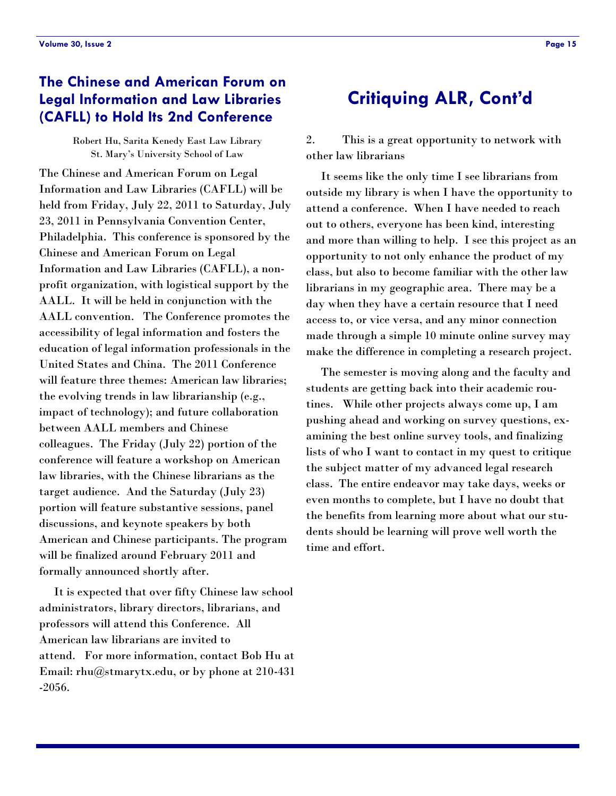# <span id="page-14-0"></span>**The Chinese and American Forum on Legal Information and Law Libraries (CAFLL) to Hold Its 2nd Conference**

Robert Hu, Sarita Kenedy East Law Library St. Mary's University School of Law

The Chinese and American Forum on Legal Information and Law Libraries (CAFLL) will be held from Friday, July 22, 2011 to Saturday, July 23, 2011 in Pennsylvania Convention Center, Philadelphia. This conference is sponsored by the Chinese and American Forum on Legal Information and Law Libraries (CAFLL), a nonprofit organization, with logistical support by the AALL. It will be held in conjunction with the AALL convention. The Conference promotes the accessibility of legal information and fosters the education of legal information professionals in the United States and China. The 2011 Conference will feature three themes: American law libraries; the evolving trends in law librarianship (e.g., impact of technology); and future collaboration between AALL members and Chinese colleagues. The Friday (July 22) portion of the conference will feature a workshop on American law libraries, with the Chinese librarians as the target audience. And the Saturday (July 23) portion will feature substantive sessions, panel discussions, and keynote speakers by both American and Chinese participants. The program will be finalized around February 2011 and formally announced shortly after.

 It is expected that over fifty Chinese law school administrators, library directors, librarians, and professors will attend this Conference. All American law librarians are invited to attend. For more information, contact Bob Hu at Email: rhu@stmarytx.edu, or by phone at 210-431 -2056.

# **Critiquing ALR, Cont'd**

2. This is a great opportunity to network with other law librarians

 It seems like the only time I see librarians from outside my library is when I have the opportunity to attend a conference. When I have needed to reach out to others, everyone has been kind, interesting and more than willing to help. I see this project as an opportunity to not only enhance the product of my class, but also to become familiar with the other law librarians in my geographic area. There may be a day when they have a certain resource that I need access to, or vice versa, and any minor connection made through a simple 10 minute online survey may make the difference in completing a research project.

 The semester is moving along and the faculty and students are getting back into their academic routines. While other projects always come up, I am pushing ahead and working on survey questions, examining the best online survey tools, and finalizing lists of who I want to contact in my quest to critique the subject matter of my advanced legal research class. The entire endeavor may take days, weeks or even months to complete, but I have no doubt that the benefits from learning more about what our students should be learning will prove well worth the time and effort.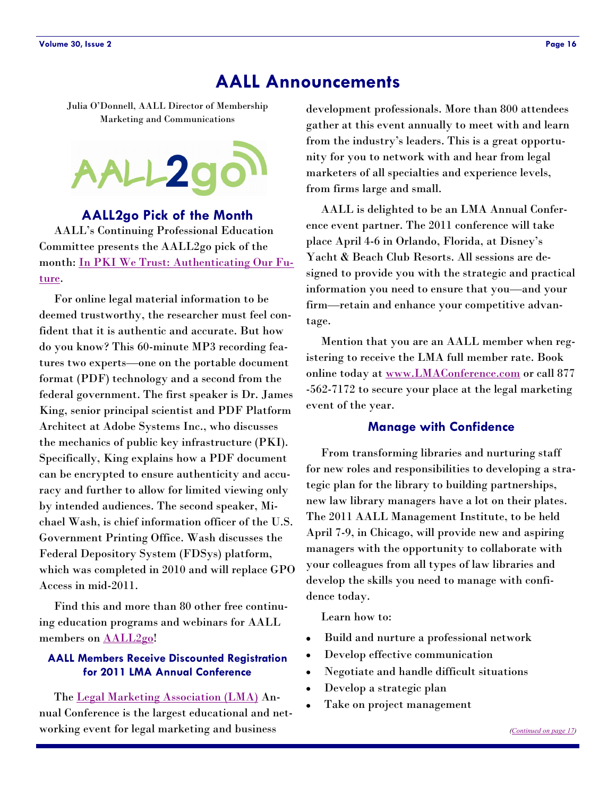# **AALL Announcements**

<span id="page-15-0"></span>Julia O'Donnell, AALL Director of Membership Marketing and Communications



#### **AALL2go Pick of the Month**

 AALL's Continuing Professional Education Committee presents the AALL2go pick of the month: [In PKI We Trust: Authenticating Our Fu](http://www.softconference.com/aall/sessionDetail.asp?SID=208462)[ture.](http://www.softconference.com/aall/sessionDetail.asp?SID=208462) 

 For online legal material information to be deemed trustworthy, the researcher must feel confident that it is authentic and accurate. But how do you know? This 60-minute MP3 recording features two experts—one on the portable document format (PDF) technology and a second from the federal government. The first speaker is Dr. James King, senior principal scientist and PDF Platform Architect at Adobe Systems Inc., who discusses the mechanics of public key infrastructure (PKI). Specifically, King explains how a PDF document can be encrypted to ensure authenticity and accuracy and further to allow for limited viewing only by intended audiences. The second speaker, Michael Wash, is chief information officer of the U.S. Government Printing Office. Wash discusses the Federal Depository System (FDSys) platform, which was completed in 2010 and will replace GPO Access in mid-2011.

 Find this and more than 80 other free continuing education programs and webinars for AALL members on AALL2go!

#### **AALL Members Receive Discounted Registration for 2011 LMA Annual Conference**

 The [Legal Marketing Association \(LMA\) A](http://www.legalmarketing.org/)nnual Conference is the largest educational and networking event for legal marketing and business

development professionals. More than 800 attendees gather at this event annually to meet with and learn from the industry's leaders. This is a great opportunity for you to network with and hear from legal marketers of all specialties and experience levels, from firms large and small.

 AALL is delighted to be an LMA Annual Conference event partner. The 2011 conference will take place April 4-6 in Orlando, Florida, at Disney's Yacht & Beach Club Resorts. All sessions are designed to provide you with the strategic and practical information you need to ensure that you—and your firm—retain and enhance your competitive advantage.

 Mention that you are an AALL member when registering to receive the LMA full member rate. Book online today at [www.LMAConference.com](http://www.LMAConference.com) or call 877 -562-7172 to secure your place at the legal marketing event of the year.

#### **Manage with Confidence**

 From transforming libraries and nurturing staff for new roles and responsibilities to developing a strategic plan for the library to building partnerships, new law library managers have a lot on their plates. The 2011 AALL Management Institute, to be held April 7-9, in Chicago, will provide new and aspiring managers with the opportunity to collaborate with your colleagues from all types of law libraries and develop the skills you need to manage with confidence today.

Learn how to:

- Build and nurture a professional network
- Develop effective communication  $\bullet$
- Negotiate and handle difficult situations  $\bullet$
- Develop a strategic plan
- Take on project management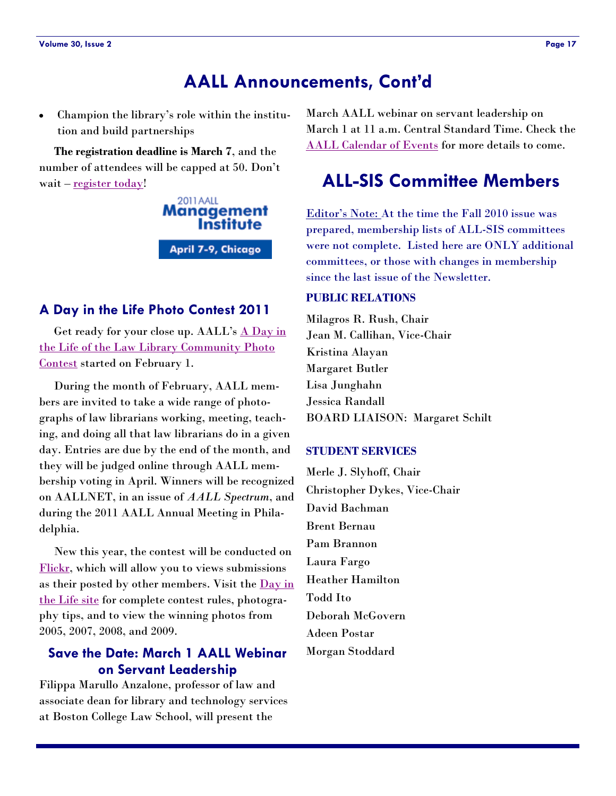# **AALL Announcements, Cont'd**

<span id="page-16-0"></span>Champion the library's role within the institution and build partnerships

 **The registration deadline is March 7**, and the number of attendees will be capped at 50. Don't wait – register today!

> 2011 AALL Management **Institute** April 7-9, Chicago

#### **A Day in the Life Photo Contest 2011**

Get ready for your close up. AALL's A Day in [the Life of the Law Library Community Photo](http://www.aallnet.org/dayinlife/)  [Contest](http://www.aallnet.org/dayinlife/) started on February 1.

 During the month of February, AALL members are invited to take a wide range of photographs of law librarians working, meeting, teaching, and doing all that law librarians do in a given day. Entries are due by the end of the month, and they will be judged online through AALL membership voting in April. Winners will be recognized on AALLNET, in an issue of *AALL Spectrum*, and during the 2011 AALL Annual Meeting in Philadelphia.

 New this year, the contest will be conducted on [Flickr,](http://www.flickr.com/groups/aalldayinlife2011/) which will allow you to views submissions as their posted by other members. Visit the Day in [the Life site](http://www.flickr.com/groups/aalldayinlife2011/) for complete contest rules, photography tips, and to view the winning photos from 2005, 2007, 2008, and 2009.

### **Save the Date: March 1 AALL Webinar on Servant Leadership**

Filippa Marullo Anzalone, professor of law and associate dean for library and technology services at Boston College Law School, will present the

March AALL webinar on servant leadership on March 1 at 11 a.m. Central Standard Time. Check the [AALL Calendar of Events f](http://www.aallnet.org/calendar/))or more details to come.

# **ALL-SIS Committee Members**

Editor's Note: At the time the Fall 2010 issue was prepared, membership lists of ALL-SIS committees were not complete. Listed here are ONLY additional committees, or those with changes in membership since the last issue of the Newsletter.

#### **PUBLIC RELATIONS**

Milagros R. Rush, Chair Jean M. Callihan, Vice-Chair Kristina Alayan Margaret Butler Lisa Junghahn Jessica Randall BOARD LIAISON: Margaret Schilt

#### **STUDENT SERVICES**

Merle J. Slyhoff, Chair Christopher Dykes, Vice-Chair David Bachman Brent Bernau Pam Brannon Laura Fargo Heather Hamilton Todd Ito Deborah McGovern Adeen Postar Morgan Stoddard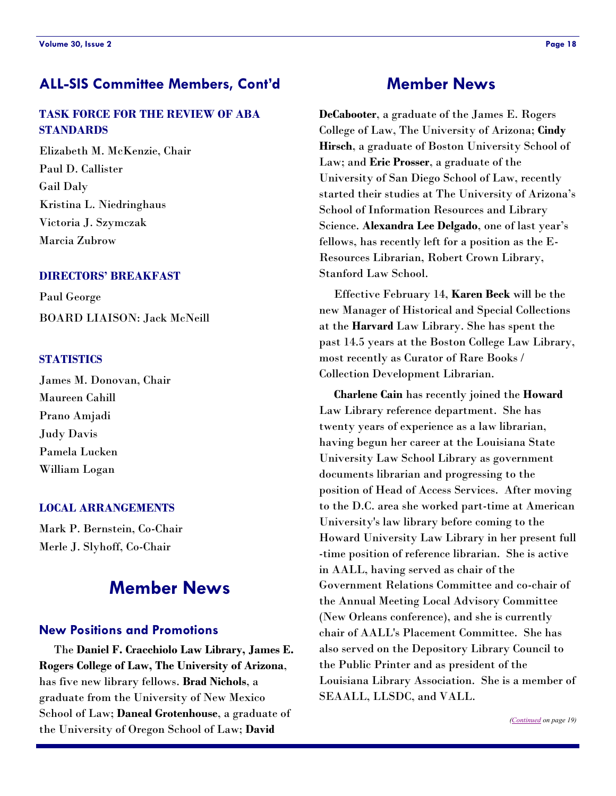# <span id="page-17-0"></span>**ALL-SIS Committee Members, Cont'd Member News**

### **TASK FORCE FOR THE REVIEW OF ABA STANDARDS**

Elizabeth M. McKenzie, Chair Paul D. Callister Gail Daly Kristina L. Niedringhaus Victoria J. Szymczak Marcia Zubrow

#### **DIRECTORS' BREAKFAST**

Paul George BOARD LIAISON: Jack McNeill

#### **STATISTICS**

James M. Donovan, Chair Maureen Cahill Prano Amjadi Judy Davis Pamela Lucken William Logan

#### **LOCAL ARRANGEMENTS**

Mark P. Bernstein, Co-Chair Merle J. Slyhoff, Co-Chair

# **Member News**

#### **New Positions and Promotions**

 The **Daniel F. Cracchiolo Law Library, James E. Rogers College of Law, The University of Arizona**, has five new library fellows. **Brad Nichols**, a graduate from the University of New Mexico School of Law; **Daneal Grotenhouse**, a graduate of the University of Oregon School of Law; **David** 

**DeCabooter**, a graduate of the James E. Rogers College of Law, The University of Arizona; **Cindy Hirsch**, a graduate of Boston University School of Law; and **Eric Prosser**, a graduate of the University of San Diego School of Law, recently started their studies at The University of Arizona's School of Information Resources and Library Science. **Alexandra Lee Delgado**, one of last year's fellows, has recently left for a position as the E-Resources Librarian, Robert Crown Library, Stanford Law School.

 Effective February 14, **Karen Beck** will be the new Manager of Historical and Special Collections at the **Harvard** Law Library. She has spent the past 14.5 years at the Boston College Law Library, most recently as Curator of Rare Books / Collection Development Librarian.

 **Charlene Cain** has recently joined the **Howard**  Law Library reference department. She has twenty years of experience as a law librarian, having begun her career at the Louisiana State University Law School Library as government documents librarian and progressing to the position of Head of Access Services. After moving to the D.C. area she worked part-time at American University's law library before coming to the Howard University Law Library in her present full -time position of reference librarian. She is active in AALL, having served as chair of the Government Relations Committee and co-chair of the Annual Meeting Local Advisory Committee (New Orleans conference), and she is currently chair of AALL's Placement Committee. She has also served on the Depository Library Council to the Public Printer and as president of the Louisiana Library Association. She is a member of SEAALL, LLSDC, and VALL.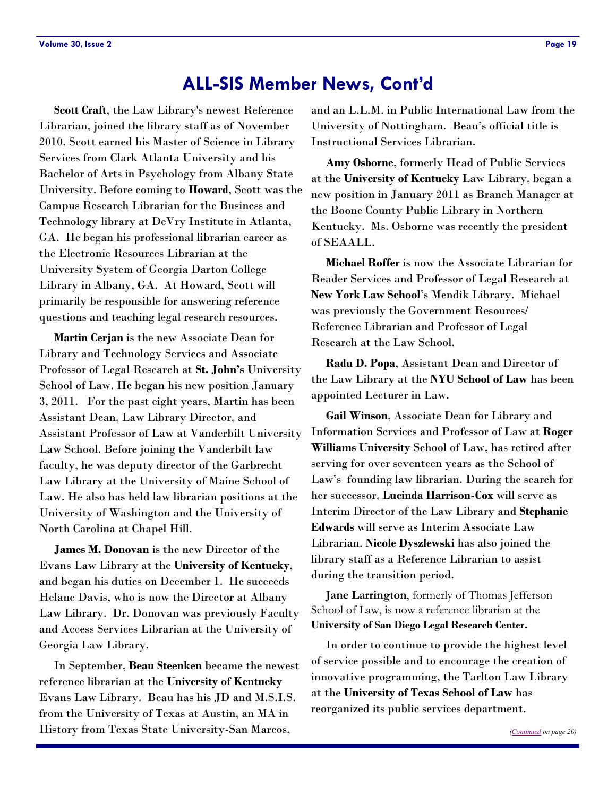# **ALL-SIS Member News, Cont'd**

<span id="page-18-0"></span> **Scott Craft**, the Law Library's newest Reference Librarian, joined the library staff as of November 2010. Scott earned his Master of Science in Library Services from Clark Atlanta University and his Bachelor of Arts in Psychology from Albany State University. Before coming to **Howard**, Scott was the Campus Research Librarian for the Business and Technology library at DeVry Institute in Atlanta, GA. He began his professional librarian career as the Electronic Resources Librarian at the University System of Georgia Darton College Library in Albany, GA. At Howard, Scott will primarily be responsible for answering reference questions and teaching legal research resources.

 **Martin Cerjan** is the new Associate Dean for Library and Technology Services and Associate Professor of Legal Research at **St. John's** University School of Law. He began his new position January 3, 2011. For the past eight years, Martin has been Assistant Dean, Law Library Director, and Assistant Professor of Law at Vanderbilt University Law School. Before joining the Vanderbilt law faculty, he was deputy director of the Garbrecht Law Library at the University of Maine School of Law. He also has held law librarian positions at the University of Washington and the University of North Carolina at Chapel Hill.

 **James M. Donovan** is the new Director of the Evans Law Library at the **University of Kentucky**, and began his duties on December 1. He succeeds Helane Davis, who is now the Director at Albany Law Library. Dr. Donovan was previously Faculty and Access Services Librarian at the University of Georgia Law Library.

 In September, **Beau Steenken** became the newest reference librarian at the **University of Kentucky** Evans Law Library. Beau has his JD and M.S.I.S. from the University of Texas at Austin, an MA in History from Texas State University-San Marcos,

and an L.L.M. in Public International Law from the University of Nottingham. Beau's official title is Instructional Services Librarian.

 **Amy Osborne**, formerly Head of Public Services at the **University of Kentucky** Law Library, began a new position in January 2011 as Branch Manager at the Boone County Public Library in Northern Kentucky. Ms. Osborne was recently the president of SEAALL.

 **Michael Roffer** is now the Associate Librarian for Reader Services and Professor of Legal Research at **New York Law School**'s Mendik Library. Michael was previously the Government Resources/ Reference Librarian and Professor of Legal Research at the Law School.

 **Radu D. Popa**, Assistant Dean and Director of the Law Library at the **NYU School of Law** has been appointed Lecturer in Law.

 **Gail Winson**, Associate Dean for Library and Information Services and Professor of Law at **Roger Williams University** School of Law, has retired after serving for over seventeen years as the School of Law's founding law librarian. During the search for her successor, **Lucinda Harrison-Cox** will serve as Interim Director of the Law Library and **Stephanie Edwards** will serve as Interim Associate Law Librarian. **Nicole Dyszlewski** has also joined the library staff as a Reference Librarian to assist during the transition period.

 **Jane Larrington**, formerly of Thomas Jefferson School of Law, is now a reference librarian at the **University of San Diego Legal Research Center.** 

In order to continue to provide the highest level of service possible and to encourage the creation of innovative programming, the Tarlton Law Library at the **University of Texas School of Law** has reorganized its public services department.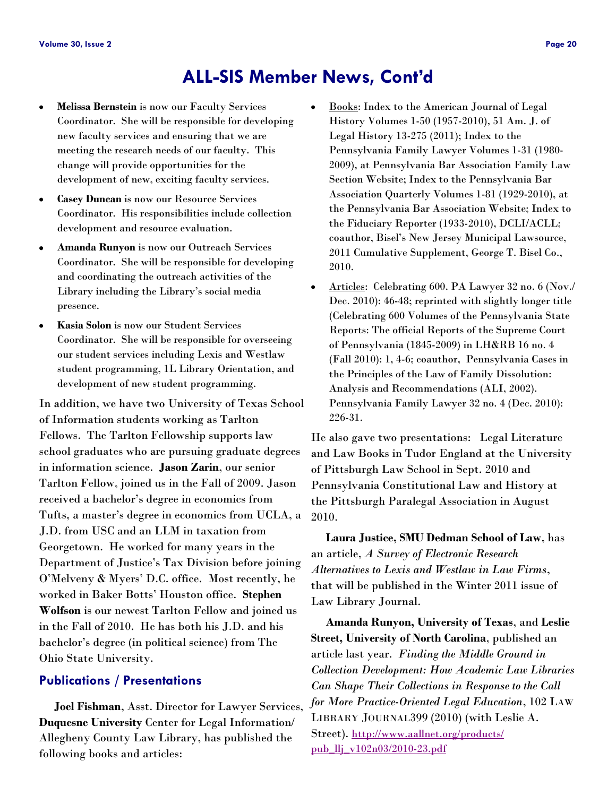# **ALL-SIS Member News, Cont'd**

- <span id="page-19-0"></span>**Melissa Bernstein** is now our Faculty Services  $\bullet$ Coordinator. She will be responsible for developing new faculty services and ensuring that we are meeting the research needs of our faculty. This change will provide opportunities for the development of new, exciting faculty services.
- **Casey Duncan** is now our Resource Services  $\bullet$ Coordinator. His responsibilities include collection development and resource evaluation.
- **Amanda Runyon** is now our Outreach Services Coordinator. She will be responsible for developing and coordinating the outreach activities of the Library including the Library's social media presence.
- **Kasia Solon** is now our Student Services  $\bullet$ Coordinator. She will be responsible for overseeing our student services including Lexis and Westlaw student programming, 1L Library Orientation, and development of new student programming.

In addition, we have two University of Texas School of Information students working as Tarlton Fellows. The Tarlton Fellowship supports law school graduates who are pursuing graduate degrees in information science. **Jason Zarin**, our senior Tarlton Fellow, joined us in the Fall of 2009. Jason received a bachelor's degree in economics from Tufts, a master's degree in economics from UCLA, a J.D. from USC and an LLM in taxation from Georgetown. He worked for many years in the Department of Justice's Tax Division before joining O'Melveny & Myers' D.C. office. Most recently, he worked in Baker Botts' Houston office. **Stephen Wolfson** is our newest Tarlton Fellow and joined us in the Fall of 2010. He has both his J.D. and his bachelor's degree (in political science) from The Ohio State University.

#### **Publications / Presentations**

 **Joel Fishman**, Asst. Director for Lawyer Services, **Duquesne University** Center for Legal Information/ Allegheny County Law Library, has published the following books and articles:

- Books: Index to the American Journal of Legal History Volumes 1-50 (1957-2010), 51 Am. J. of Legal History 13-275 (2011); Index to the Pennsylvania Family Lawyer Volumes 1-31 (1980- 2009), at Pennsylvania Bar Association Family Law Section Website; Index to the Pennsylvania Bar Association Quarterly Volumes 1-81 (1929-2010), at the Pennsylvania Bar Association Website; Index to the Fiduciary Reporter (1933-2010), DCLI/ACLL; coauthor, Bisel's New Jersey Municipal Lawsource, 2011 Cumulative Supplement, George T. Bisel Co., 2010.
- Articles: Celebrating 600. PA Lawyer 32 no. 6 (Nov./  $\bullet$ Dec. 2010): 46-48; reprinted with slightly longer title (Celebrating 600 Volumes of the Pennsylvania State Reports: The official Reports of the Supreme Court of Pennsylvania (1845-2009) in LH&RB 16 no. 4 (Fall 2010): 1, 4-6; coauthor, Pennsylvania Cases in the Principles of the Law of Family Dissolution: Analysis and Recommendations (ALI, 2002). Pennsylvania Family Lawyer 32 no. 4 (Dec. 2010): 226-31.

He also gave two presentations: Legal Literature and Law Books in Tudor England at the University of Pittsburgh Law School in Sept. 2010 and Pennsylvania Constitutional Law and History at the Pittsburgh Paralegal Association in August 2010.

 **Laura Justice, SMU Dedman School of Law**, has an article, *A Survey of Electronic Research Alternatives to Lexis and Westlaw in Law Firms*, that will be published in the Winter 2011 issue of Law Library Journal.

 **Amanda Runyon, University of Texas**, and **Leslie Street, University of North Carolina**, published an article last year. *Finding the Middle Ground in Collection Development: How Academic Law Libraries Can Shape Their Collections in Response to the Call for More Practice-Oriented Legal Education*, 102 LAW LIBRARY JOURNAL399 (2010) (with Leslie A. Street). [http://www.aallnet.org/products/](http://www.aallnet.org/products/pub_llj_v102n03/2010-23.pdf) [pub\\_llj\\_v102n03/2010-23.pdf](http://www.aallnet.org/products/pub_llj_v102n03/2010-23.pdf)